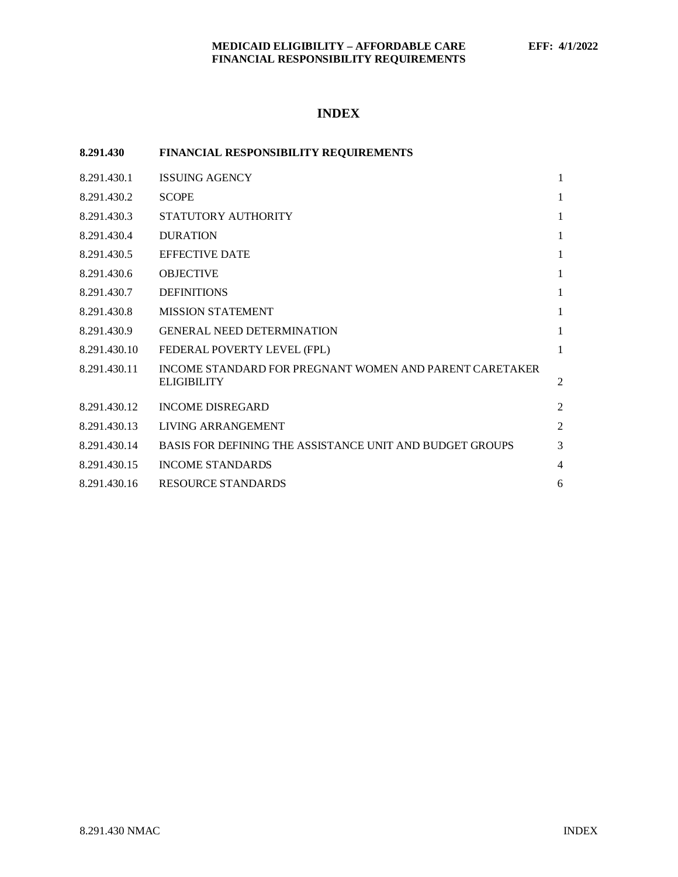# **INDEX**

| 8.291.430    | <b>FINANCIAL RESPONSIBILITY REQUIREMENTS</b>                                  |              |
|--------------|-------------------------------------------------------------------------------|--------------|
| 8.291.430.1  | <b>ISSUING AGENCY</b>                                                         | 1            |
| 8.291.430.2  | <b>SCOPE</b>                                                                  | 1            |
| 8.291.430.3  | STATUTORY AUTHORITY                                                           | $\mathbf{1}$ |
| 8.291.430.4  | <b>DURATION</b>                                                               | 1            |
| 8.291.430.5  | <b>EFFECTIVE DATE</b>                                                         | 1            |
| 8.291.430.6  | <b>OBJECTIVE</b>                                                              | 1            |
| 8.291.430.7  | <b>DEFINITIONS</b>                                                            | 1            |
| 8.291.430.8  | <b>MISSION STATEMENT</b>                                                      | 1            |
| 8.291.430.9  | <b>GENERAL NEED DETERMINATION</b>                                             | 1            |
| 8.291.430.10 | FEDERAL POVERTY LEVEL (FPL)                                                   | 1            |
| 8.291.430.11 | INCOME STANDARD FOR PREGNANT WOMEN AND PARENT CARETAKER<br><b>ELIGIBILITY</b> | 2            |
| 8.291.430.12 | <b>INCOME DISREGARD</b>                                                       | 2            |
| 8.291.430.13 | LIVING ARRANGEMENT                                                            | 2            |
| 8.291.430.14 | BASIS FOR DEFINING THE ASSISTANCE UNIT AND BUDGET GROUPS                      | 3            |
| 8.291.430.15 | <b>INCOME STANDARDS</b>                                                       | 4            |
| 8.291.430.16 | <b>RESOURCE STANDARDS</b>                                                     | 6            |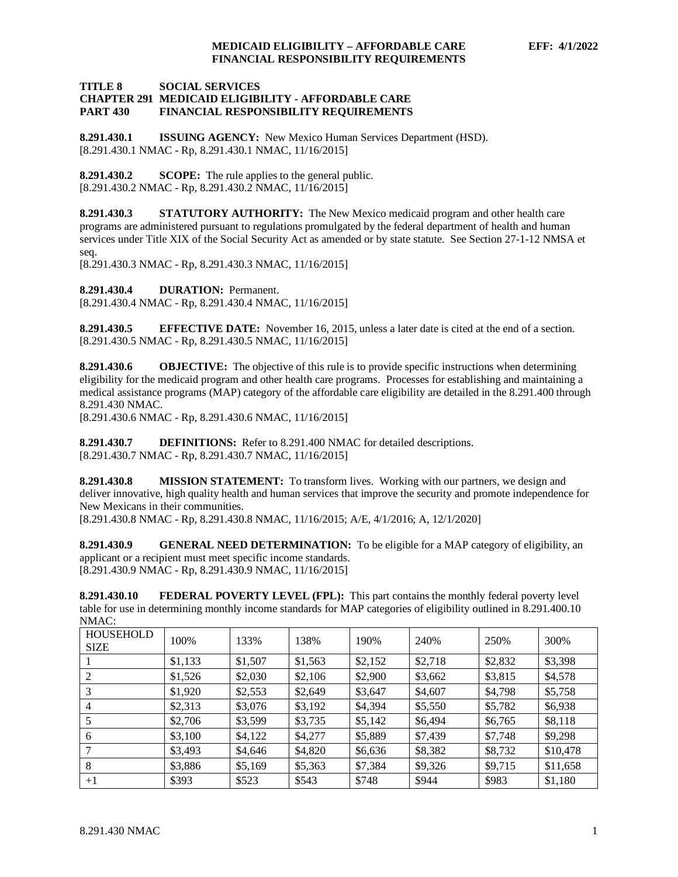# **TITLE 8 SOCIAL SERVICES**

#### **CHAPTER 291 MEDICAID ELIGIBILITY - AFFORDABLE CARE PART 430 FINANCIAL RESPONSIBILITY REQUIREMENTS**

<span id="page-1-0"></span>**8.291.430.1 ISSUING AGENCY:** New Mexico Human Services Department (HSD). [8.291.430.1 NMAC - Rp, 8.291.430.1 NMAC, 11/16/2015]

<span id="page-1-1"></span>**8.291.430.2 SCOPE:** The rule applies to the general public. [8.291.430.2 NMAC - Rp, 8.291.430.2 NMAC, 11/16/2015]

<span id="page-1-2"></span>**8.291.430.3 STATUTORY AUTHORITY:** The New Mexico medicaid program and other health care programs are administered pursuant to regulations promulgated by the federal department of health and human services under Title XIX of the Social Security Act as amended or by state statute. See Section 27-1-12 NMSA et seq.

[8.291.430.3 NMAC - Rp, 8.291.430.3 NMAC, 11/16/2015]

<span id="page-1-3"></span>**8.291.430.4 DURATION:** Permanent.

[8.291.430.4 NMAC - Rp, 8.291.430.4 NMAC, 11/16/2015]

<span id="page-1-4"></span>**8.291.430.5 EFFECTIVE DATE:** November 16, 2015, unless a later date is cited at the end of a section. [8.291.430.5 NMAC - Rp, 8.291.430.5 NMAC, 11/16/2015]

<span id="page-1-5"></span>**8.291.430.6 OBJECTIVE:** The objective of this rule is to provide specific instructions when determining eligibility for the medicaid program and other health care programs. Processes for establishing and maintaining a medical assistance programs (MAP) category of the affordable care eligibility are detailed in the 8.291.400 through 8.291.430 NMAC.

[8.291.430.6 NMAC - Rp, 8.291.430.6 NMAC, 11/16/2015]

<span id="page-1-6"></span>**8.291.430.7 DEFINITIONS:** Refer to 8.291.400 NMAC for detailed descriptions. [8.291.430.7 NMAC - Rp, 8.291.430.7 NMAC, 11/16/2015]

<span id="page-1-7"></span>**8.291.430.8 MISSION STATEMENT:** To transform lives. Working with our partners, we design and deliver innovative, high quality health and human services that improve the security and promote independence for New Mexicans in their communities.

[8.291.430.8 NMAC - Rp, 8.291.430.8 NMAC, 11/16/2015; A/E, 4/1/2016; A, 12/1/2020]

<span id="page-1-8"></span>**8.291.430.9 GENERAL NEED DETERMINATION:** To be eligible for a MAP category of eligibility, an applicant or a recipient must meet specific income standards. [8.291.430.9 NMAC - Rp, 8.291.430.9 NMAC, 11/16/2015]

<span id="page-1-9"></span>**8.291.430.10 FEDERAL POVERTY LEVEL (FPL):** This part contains the monthly federal poverty level table for use in determining monthly income standards for MAP categories of eligibility outlined in 8.291.400.10 NMAC:

| <b>HOUSEHOLD</b><br><b>SIZE</b> | 100%    | 133%    | 138%    | 190%    | 240%    | 250%    | 300%     |
|---------------------------------|---------|---------|---------|---------|---------|---------|----------|
|                                 | \$1,133 | \$1,507 | \$1,563 | \$2,152 | \$2,718 | \$2,832 | \$3,398  |
| 2                               | \$1,526 | \$2,030 | \$2,106 | \$2,900 | \$3,662 | \$3,815 | \$4,578  |
| 3                               | \$1,920 | \$2,553 | \$2,649 | \$3,647 | \$4,607 | \$4,798 | \$5,758  |
| $\overline{4}$                  | \$2,313 | \$3,076 | \$3,192 | \$4,394 | \$5,550 | \$5,782 | \$6,938  |
|                                 | \$2,706 | \$3,599 | \$3,735 | \$5,142 | \$6,494 | \$6,765 | \$8,118  |
| 6                               | \$3,100 | \$4,122 | \$4,277 | \$5,889 | \$7,439 | \$7,748 | \$9,298  |
| 7                               | \$3,493 | \$4,646 | \$4,820 | \$6,636 | \$8,382 | \$8,732 | \$10,478 |
| 8                               | \$3,886 | \$5,169 | \$5,363 | \$7,384 | \$9,326 | \$9,715 | \$11,658 |
| $+1$                            | \$393   | \$523   | \$543   | \$748   | \$944   | \$983   | \$1,180  |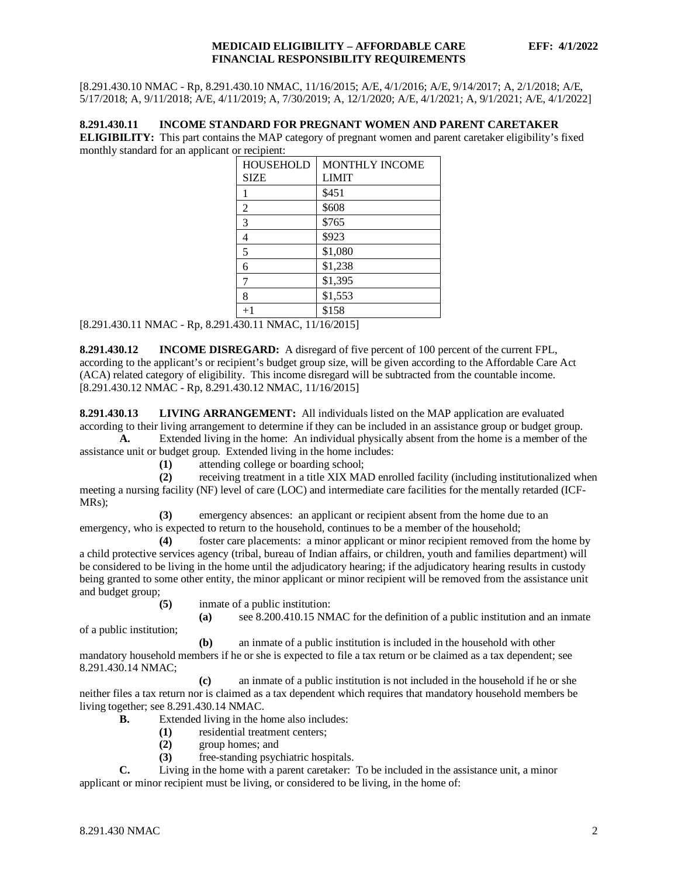[8.291.430.10 NMAC - Rp, 8.291.430.10 NMAC, 11/16/2015; A/E, 4/1/2016; A/E, 9/14/2017; A, 2/1/2018; A/E, 5/17/2018; A, 9/11/2018; A/E, 4/11/2019; A, 7/30/2019; A, 12/1/2020; A/E, 4/1/2021; A, 9/1/2021; A/E, 4/1/2022]

## <span id="page-2-0"></span>**8.291.430.11 INCOME STANDARD FOR PREGNANT WOMEN AND PARENT CARETAKER**

**ELIGIBILITY:** This part contains the MAP category of pregnant women and parent caretaker eligibility's fixed monthly standard for an applicant or recipient:

| <b>HOUSEHOLD</b> | <b>MONTHLY INCOME</b> |  |  |  |
|------------------|-----------------------|--|--|--|
| <b>SIZE</b>      | <b>LIMIT</b>          |  |  |  |
|                  | \$451                 |  |  |  |
| 2                | \$608                 |  |  |  |
| 3                | \$765                 |  |  |  |
| 4                | \$923                 |  |  |  |
| 5                | \$1,080               |  |  |  |
| 6                | \$1,238               |  |  |  |
| 7                | \$1,395               |  |  |  |
| 8                | \$1,553               |  |  |  |
| $+1$             | \$158                 |  |  |  |

[8.291.430.11 NMAC - Rp, 8.291.430.11 NMAC, 11/16/2015]

<span id="page-2-1"></span>**8.291.430.12 INCOME DISREGARD:** A disregard of five percent of 100 percent of the current FPL, according to the applicant's or recipient's budget group size, will be given according to the Affordable Care Act (ACA) related category of eligibility. This income disregard will be subtracted from the countable income. [8.291.430.12 NMAC - Rp, 8.291.430.12 NMAC, 11/16/2015]

<span id="page-2-2"></span>**8.291.430.13 LIVING ARRANGEMENT:** All individuals listed on the MAP application are evaluated according to their living arrangement to determine if they can be included in an assistance group or budget group.

**A.** Extended living in the home: An individual physically absent from the home is a member of the assistance unit or budget group. Extended living in the home includes:

**(1)** attending college or boarding school;

**(2)** receiving treatment in a title XIX MAD enrolled facility (including institutionalized when meeting a nursing facility (NF) level of care (LOC) and intermediate care facilities for the mentally retarded (ICF-MRs);

**(3)** emergency absences: an applicant or recipient absent from the home due to an emergency, who is expected to return to the household, continues to be a member of the household;

**(4)** foster care placements: a minor applicant or minor recipient removed from the home by a child protective services agency (tribal, bureau of Indian affairs, or children, youth and families department) will be considered to be living in the home until the adjudicatory hearing; if the adjudicatory hearing results in custody being granted to some other entity, the minor applicant or minor recipient will be removed from the assistance unit and budget group;

**(5)** inmate of a public institution:

**(a)** see 8.200.410.15 NMAC for the definition of a public institution and an inmate

of a public institution;

**(b)** an inmate of a public institution is included in the household with other mandatory household members if he or she is expected to file a tax return or be claimed as a tax dependent; see 8.291.430.14 NMAC;

**(c)** an inmate of a public institution is not included in the household if he or she neither files a tax return nor is claimed as a tax dependent which requires that mandatory household members be living together; see 8.291.430.14 NMAC.

- **B.** Extended living in the home also includes:
	- **(1)** residential treatment centers;
	- **(2)** group homes; and
	- **(3)** free-standing psychiatric hospitals.

**C.** Living in the home with a parent caretaker: To be included in the assistance unit, a minor applicant or minor recipient must be living, or considered to be living, in the home of: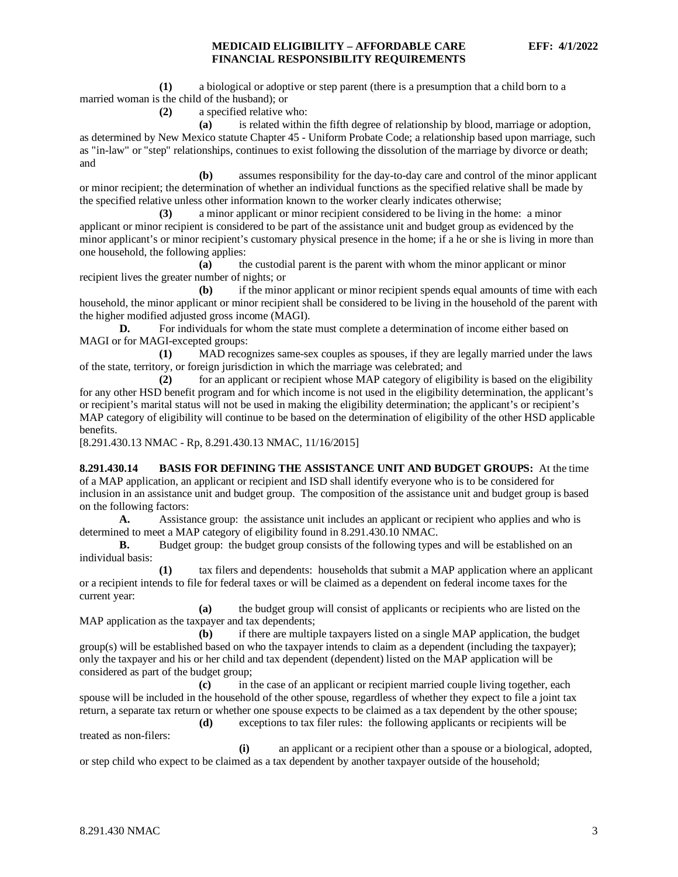**(1)** a biological or adoptive or step parent (there is a presumption that a child born to a married woman is the child of the husband); or

**(2)** a specified relative who:

**(a)** is related within the fifth degree of relationship by blood, marriage or adoption, as determined by New Mexico statute Chapter 45 - Uniform Probate Code; a relationship based upon marriage, such as "in-law" or "step" relationships, continues to exist following the dissolution of the marriage by divorce or death; and

**(b)** assumes responsibility for the day-to-day care and control of the minor applicant or minor recipient; the determination of whether an individual functions as the specified relative shall be made by the specified relative unless other information known to the worker clearly indicates otherwise;

**(3)** a minor applicant or minor recipient considered to be living in the home: a minor applicant or minor recipient is considered to be part of the assistance unit and budget group as evidenced by the minor applicant's or minor recipient's customary physical presence in the home; if a he or she is living in more than one household, the following applies:

**(a)** the custodial parent is the parent with whom the minor applicant or minor recipient lives the greater number of nights; or

**(b)** if the minor applicant or minor recipient spends equal amounts of time with each household, the minor applicant or minor recipient shall be considered to be living in the household of the parent with the higher modified adjusted gross income (MAGI).

**D.** For individuals for whom the state must complete a determination of income either based on MAGI or for MAGI-excepted groups:

**(1)** MAD recognizes same-sex couples as spouses, if they are legally married under the laws of the state, territory, or foreign jurisdiction in which the marriage was celebrated; and

**(2)** for an applicant or recipient whose MAP category of eligibility is based on the eligibility for any other HSD benefit program and for which income is not used in the eligibility determination, the applicant's or recipient's marital status will not be used in making the eligibility determination; the applicant's or recipient's MAP category of eligibility will continue to be based on the determination of eligibility of the other HSD applicable benefits.

[8.291.430.13 NMAC - Rp, 8.291.430.13 NMAC, 11/16/2015]

<span id="page-3-0"></span>**8.291.430.14 BASIS FOR DEFINING THE ASSISTANCE UNIT AND BUDGET GROUPS:** At the time of a MAP application, an applicant or recipient and ISD shall identify everyone who is to be considered for inclusion in an assistance unit and budget group. The composition of the assistance unit and budget group is based on the following factors:

**A.** Assistance group: the assistance unit includes an applicant or recipient who applies and who is determined to meet a MAP category of eligibility found in 8.291.430.10 NMAC.

**B.** Budget group: the budget group consists of the following types and will be established on an individual basis:

**(1)** tax filers and dependents: households that submit a MAP application where an applicant or a recipient intends to file for federal taxes or will be claimed as a dependent on federal income taxes for the current year:

**(a)** the budget group will consist of applicants or recipients who are listed on the MAP application as the taxpayer and tax dependents;

**(b)** if there are multiple taxpayers listed on a single MAP application, the budget group(s) will be established based on who the taxpayer intends to claim as a dependent (including the taxpayer); only the taxpayer and his or her child and tax dependent (dependent) listed on the MAP application will be considered as part of the budget group;

**(c)** in the case of an applicant or recipient married couple living together, each spouse will be included in the household of the other spouse, regardless of whether they expect to file a joint tax return, a separate tax return or whether one spouse expects to be claimed as a tax dependent by the other spouse;

**(d)** exceptions to tax filer rules: the following applicants or recipients will be treated as non-filers:

**(i)** an applicant or a recipient other than a spouse or a biological, adopted, or step child who expect to be claimed as a tax dependent by another taxpayer outside of the household;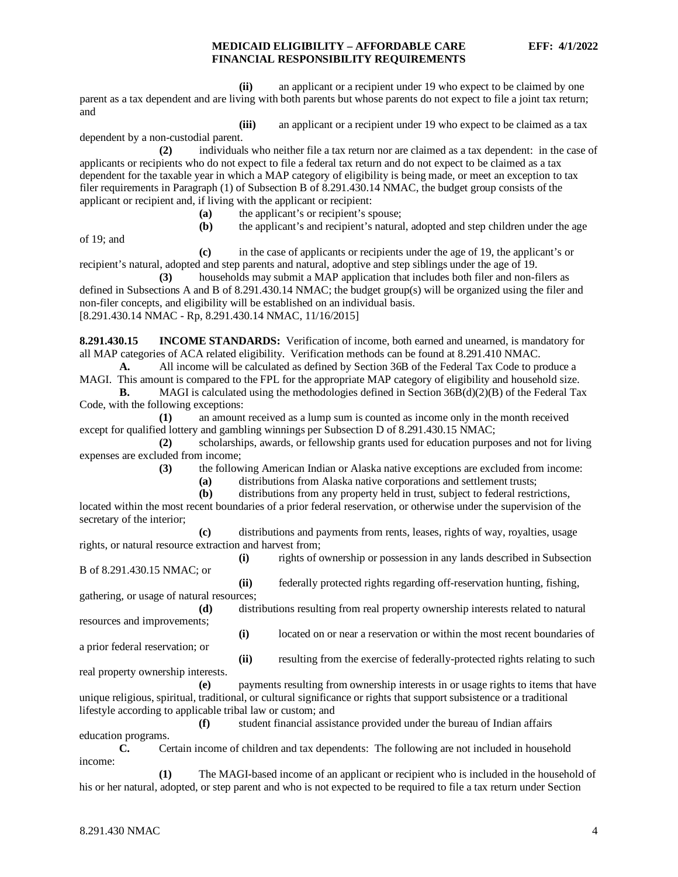**(ii)** an applicant or a recipient under 19 who expect to be claimed by one parent as a tax dependent and are living with both parents but whose parents do not expect to file a joint tax return; and

**(iii)** an applicant or a recipient under 19 who expect to be claimed as a tax dependent by a non-custodial parent.

**(2)** individuals who neither file a tax return nor are claimed as a tax dependent: in the case of applicants or recipients who do not expect to file a federal tax return and do not expect to be claimed as a tax dependent for the taxable year in which a MAP category of eligibility is being made, or meet an exception to tax filer requirements in Paragraph (1) of Subsection B of 8.291.430.14 NMAC, the budget group consists of the applicant or recipient and, if living with the applicant or recipient:

- **(a)** the applicant's or recipient's spouse;
- **(b)** the applicant's and recipient's natural, adopted and step children under the age

of 19; and

**(c)** in the case of applicants or recipients under the age of 19, the applicant's or recipient's natural, adopted and step parents and natural, adoptive and step siblings under the age of 19.

**(3)** households may submit a MAP application that includes both filer and non-filers as defined in Subsections A and B of 8.291.430.14 NMAC; the budget group(s) will be organized using the filer and non-filer concepts, and eligibility will be established on an individual basis. [8.291.430.14 NMAC - Rp, 8.291.430.14 NMAC, 11/16/2015]

<span id="page-4-0"></span>**8.291.430.15 INCOME STANDARDS:** Verification of income, both earned and unearned, is mandatory for all MAP categories of ACA related eligibility. Verification methods can be found at 8.291.410 NMAC.

**A.** All income will be calculated as defined by Section 36B of the Federal Tax Code to produce a MAGI. This amount is compared to the FPL for the appropriate MAP category of eligibility and household size.

**B.** MAGI is calculated using the methodologies defined in Section 36B(d)(2)(B) of the Federal Tax Code, with the following exceptions:

**(1)** an amount received as a lump sum is counted as income only in the month received except for qualified lottery and gambling winnings per Subsection D of 8.291.430.15 NMAC;

**(2)** scholarships, awards, or fellowship grants used for education purposes and not for living expenses are excluded from income;

**(3)** the following American Indian or Alaska native exceptions are excluded from income:

**(a)** distributions from Alaska native corporations and settlement trusts;

**(b)** distributions from any property held in trust, subject to federal restrictions, located within the most recent boundaries of a prior federal reservation, or otherwise under the supervision of the secretary of the interior;

**(c)** distributions and payments from rents, leases, rights of way, royalties, usage rights, or natural resource extraction and harvest from;

**(i)** rights of ownership or possession in any lands described in Subsection B of 8.291.430.15 NMAC; or

**(ii)** federally protected rights regarding off-reservation hunting, fishing, gathering, or usage of natural resources;

**(d)** distributions resulting from real property ownership interests related to natural resources and improvements;

**(i)** located on or near a reservation or within the most recent boundaries of a prior federal reservation; or

real property ownership interests.

**(ii)** resulting from the exercise of federally-protected rights relating to such

**(e)** payments resulting from ownership interests in or usage rights to items that have unique religious, spiritual, traditional, or cultural significance or rights that support subsistence or a traditional lifestyle according to applicable tribal law or custom; and

**(f)** student financial assistance provided under the bureau of Indian affairs

education programs.

**C.** Certain income of children and tax dependents: The following are not included in household income:

**(1)** The MAGI-based income of an applicant or recipient who is included in the household of his or her natural, adopted, or step parent and who is not expected to be required to file a tax return under Section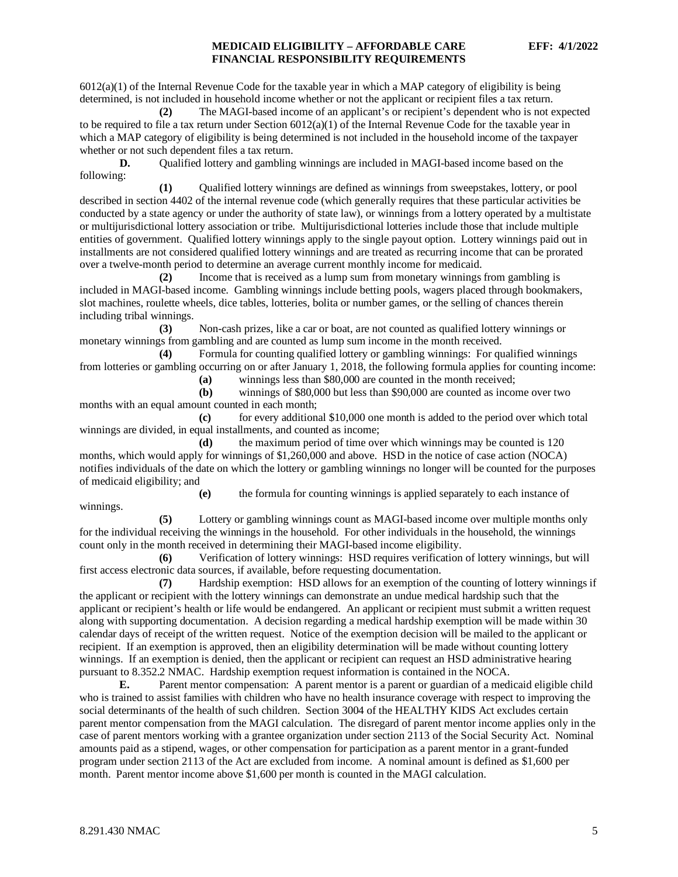$6012(a)(1)$  of the Internal Revenue Code for the taxable year in which a MAP category of eligibility is being determined, is not included in household income whether or not the applicant or recipient files a tax return.

**(2)** The MAGI-based income of an applicant's or recipient's dependent who is not expected to be required to file a tax return under Section  $6012(a)(1)$  of the Internal Revenue Code for the taxable year in which a MAP category of eligibility is being determined is not included in the household income of the taxpayer whether or not such dependent files a tax return.

**D.** Qualified lottery and gambling winnings are included in MAGI-based income based on the following:

**(1)** Qualified lottery winnings are defined as winnings from sweepstakes, lottery, or pool described in section 4402 of the internal revenue code (which generally requires that these particular activities be conducted by a state agency or under the authority of state law), or winnings from a lottery operated by a multistate or multijurisdictional lottery association or tribe. Multijurisdictional lotteries include those that include multiple entities of government. Qualified lottery winnings apply to the single payout option. Lottery winnings paid out in installments are not considered qualified lottery winnings and are treated as recurring income that can be prorated over a twelve-month period to determine an average current monthly income for medicaid.

**(2)** Income that is received as a lump sum from monetary winnings from gambling is included in MAGI-based income. Gambling winnings include betting pools, wagers placed through bookmakers, slot machines, roulette wheels, dice tables, lotteries, bolita or number games, or the selling of chances therein including tribal winnings.

**(3)** Non-cash prizes, like a car or boat, are not counted as qualified lottery winnings or monetary winnings from gambling and are counted as lump sum income in the month received.

**(4)** Formula for counting qualified lottery or gambling winnings: For qualified winnings from lotteries or gambling occurring on or after January 1, 2018, the following formula applies for counting income:

**(a)** winnings less than \$80,000 are counted in the month received;

**(b)** winnings of \$80,000 but less than \$90,000 are counted as income over two months with an equal amount counted in each month;

**(c)** for every additional \$10,000 one month is added to the period over which total winnings are divided, in equal installments, and counted as income;

**(d)** the maximum period of time over which winnings may be counted is 120 months, which would apply for winnings of \$1,260,000 and above. HSD in the notice of case action (NOCA) notifies individuals of the date on which the lottery or gambling winnings no longer will be counted for the purposes of medicaid eligibility; and

**(e)** the formula for counting winnings is applied separately to each instance of winnings.

**(5)** Lottery or gambling winnings count as MAGI-based income over multiple months only for the individual receiving the winnings in the household. For other individuals in the household, the winnings count only in the month received in determining their MAGI-based income eligibility.

**(6)** Verification of lottery winnings: HSD requires verification of lottery winnings, but will first access electronic data sources, if available, before requesting documentation.

**(7)** Hardship exemption: HSD allows for an exemption of the counting of lottery winnings if the applicant or recipient with the lottery winnings can demonstrate an undue medical hardship such that the applicant or recipient's health or life would be endangered. An applicant or recipient must submit a written request along with supporting documentation. A decision regarding a medical hardship exemption will be made within 30 calendar days of receipt of the written request. Notice of the exemption decision will be mailed to the applicant or recipient. If an exemption is approved, then an eligibility determination will be made without counting lottery winnings. If an exemption is denied, then the applicant or recipient can request an HSD administrative hearing pursuant to 8.352.2 NMAC. Hardship exemption request information is contained in the NOCA.

**E.** Parent mentor compensation: A parent mentor is a parent or guardian of a medicaid eligible child who is trained to assist families with children who have no health insurance coverage with respect to improving the social determinants of the health of such children. Section 3004 of the HEALTHY KIDS Act excludes certain parent mentor compensation from the MAGI calculation. The disregard of parent mentor income applies only in the case of parent mentors working with a grantee organization under section 2113 of the Social Security Act. Nominal amounts paid as a stipend, wages, or other compensation for participation as a parent mentor in a grant-funded program under section 2113 of the Act are excluded from income. A nominal amount is defined as \$1,600 per month. Parent mentor income above \$1,600 per month is counted in the MAGI calculation.